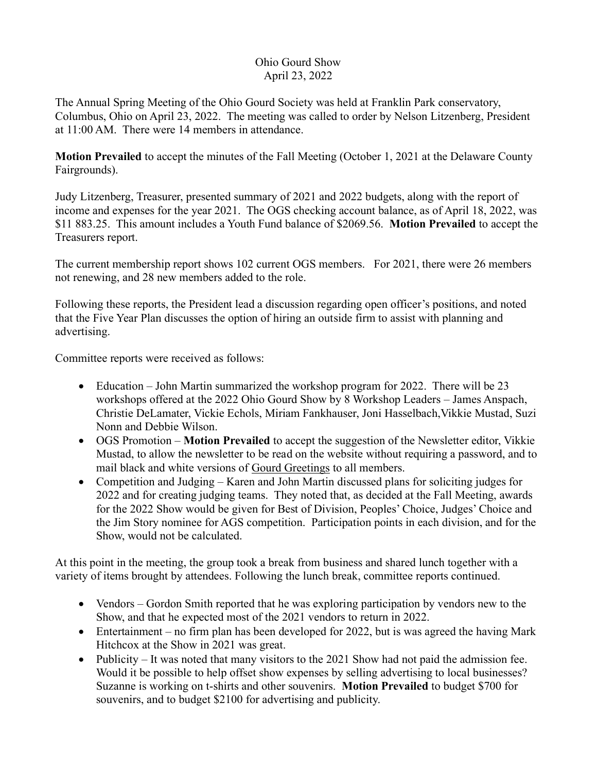## Ohio Gourd Show April 23, 2022

The Annual Spring Meeting of the Ohio Gourd Society was held at Franklin Park conservatory, Columbus, Ohio on April 23, 2022. The meeting was called to order by Nelson Litzenberg, President at 11:00 AM. There were 14 members in attendance.

**Motion Prevailed** to accept the minutes of the Fall Meeting (October 1, 2021 at the Delaware County Fairgrounds).

Judy Litzenberg, Treasurer, presented summary of 2021 and 2022 budgets, along with the report of income and expenses for the year 2021. The OGS checking account balance, as of April 18, 2022, was \$11 883.25. This amount includes a Youth Fund balance of \$2069.56. **Motion Prevailed** to accept the Treasurers report.

The current membership report shows 102 current OGS members. For 2021, there were 26 members not renewing, and 28 new members added to the role.

Following these reports, the President lead a discussion regarding open officer's positions, and noted that the Five Year Plan discusses the option of hiring an outside firm to assist with planning and advertising.

Committee reports were received as follows:

- Education John Martin summarized the workshop program for 2022. There will be 23 workshops offered at the 2022 Ohio Gourd Show by 8 Workshop Leaders – James Anspach, Christie DeLamater, Vickie Echols, Miriam Fankhauser, Joni Hasselbach,Vikkie Mustad, Suzi Nonn and Debbie Wilson.
- OGS Promotion **Motion Prevailed** to accept the suggestion of the Newsletter editor, Vikkie Mustad, to allow the newsletter to be read on the website without requiring a password, and to mail black and white versions of Gourd Greetings to all members.
- Competition and Judging Karen and John Martin discussed plans for soliciting judges for 2022 and for creating judging teams. They noted that, as decided at the Fall Meeting, awards for the 2022 Show would be given for Best of Division, Peoples' Choice, Judges' Choice and the Jim Story nominee for AGS competition. Participation points in each division, and for the Show, would not be calculated.

At this point in the meeting, the group took a break from business and shared lunch together with a variety of items brought by attendees. Following the lunch break, committee reports continued.

- Vendors Gordon Smith reported that he was exploring participation by vendors new to the Show, and that he expected most of the 2021 vendors to return in 2022.
- Entertainment no firm plan has been developed for 2022, but is was agreed the having Mark Hitchcox at the Show in 2021 was great.
- Publicity It was noted that many visitors to the 2021 Show had not paid the admission fee. Would it be possible to help offset show expenses by selling advertising to local businesses? Suzanne is working on t-shirts and other souvenirs. **Motion Prevailed** to budget \$700 for souvenirs, and to budget \$2100 for advertising and publicity.